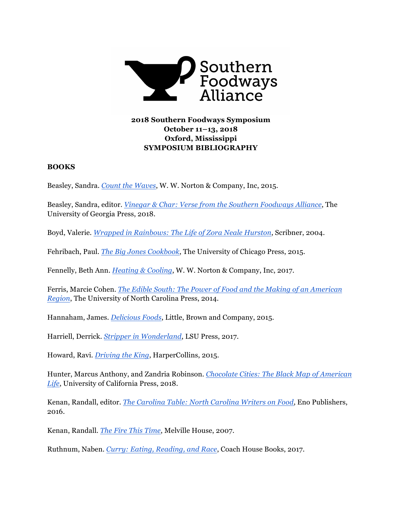

# **2018 Southern Foodways Symposium October 11–13, 2018 Oxford, Mississippi SYMPOSIUM BIBLIOGRAPHY**

### **BOOKS**

Beasley, Sandra. *[Count the Waves](http://books.wwnorton.com/books/Count-the-Waves/)*, W. W. Norton & Company, Inc, 2015.

Beasley, Sandra, editor. *[Vinegar & Char: Verse from the Southern Foodways Alliance](http://www.ugapress.org/index.php/books/index/vinegar_and_char)*, The University of Georgia Press, 2018.

Boyd, Valerie. *[Wrapped in Rainbows: The Life of Zora Neale Hurston](http://www.simonandschuster.com/books/Wrapped-in-Rainbows/Valerie-Boyd/9780743253291)*, Scribner, 2004.

Fehribach, Paul. *[The Big Jones](https://press.uchicago.edu/ucp/books/book/chicago/B/bo19197975.html) Cookbook*, The University of Chicago Press, 2015.

Fennelly, Beth Ann. *[Heating & Cooling](http://books.wwnorton.com/books/Heating--Cooling/)*, W. W. Norton & Company, Inc, 2017.

Ferris, Marcie Cohen. *[The Edible South: The Power of Food and the Making of an American](https://www.uncpress.org/book/9781469629957/the-edible-south/) [Region](https://www.uncpress.org/book/9781469629957/the-edible-south/)*, The University of North Carolina Press, 2014.

Hannaham, James. *[Delicious Foods](https://www.littlebrown.com/titles/james-hannaham/delicious-foods/9780316284929/)*, Little, Brown and Company, 2015.

Harriell, Derrick. *[Stripper in Wonderland](https://lsupress.org/books/detail/stripper-in-wonderland/)*, LSU Press, 2017.

Howard, Ravi. *[Driving the King](https://www.harpercollins.com/9780060529611/driving-the-king/)*, HarperCollins, 2015.

Hunter, Marcus Anthony, and Zandria Robinson. *[Chocolate Cities: The Black Map of American](https://www.ucpress.edu/book/9780520292833/chocolate-cities) [Life](https://www.ucpress.edu/book/9780520292833/chocolate-cities)*, University of California Press, 2018.

Kenan, Randall, editor. *[The Carolina Table: North Carolina Writers on Food](http://www.enopublishers.org/books/the-carolina-table-north-carolina-writers-on-food)*, Eno Publishers, 2016.

Kenan, Randall. *[The Fire This Time](https://www.mhpbooks.com/books/the-fire-this-time/)*, Melville House, 2007.

Ruthnum, Naben. *[Curry: Eating, Reading, and Race](https://chbooks.com/Books/C/Curry)*, Coach House Books, 2017.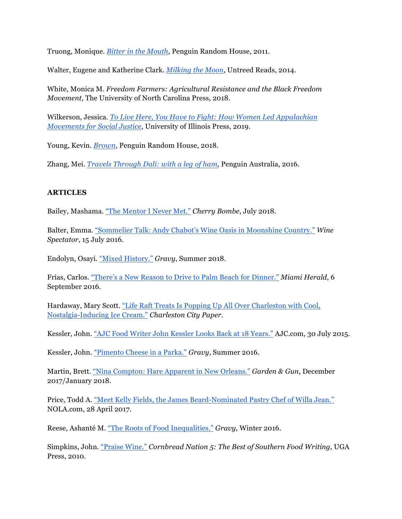Truong, Monique. *[Bitter in the Mouth](https://www.penguinrandomhouse.com/books/180727/bitter-in-the-mouth-by-monique-truong/)*, Penguin Random House, 2011.

Walter, Eugene and Katherine Clark. *[Milking the Moon](https://www.untreedreads.com/store/index.php?main_page=product_info&cPath=720&products_id=1705)*, Untreed Reads, 2014.

White, Monica M. *Freedom Farmers: Agricultural Resistance and the Black Freedom Movement*, The University of North Carolina Press, 2018.

Wilkerson, Jessica. *[To Live Here, You Have to Fight: How Women Led Appalachian](https://www.press.uillinois.edu/books/catalog/88kwn4rh9780252042188.html)  [Movements for Social Justice](https://www.press.uillinois.edu/books/catalog/88kwn4rh9780252042188.html)*, University of Illinois Press, 2019.

Young, Kevin. *[Brown](https://www.penguinrandomhouse.com/books/553753/brown-by-kevin-young/9781524732547/)*, Penguin Random House, 2018.

Zhang, Mei. *[Travels Through Dali: with a leg of ham](https://www.travelsthroughdali.com/)*, Penguin Australia, 2016.

## **ARTICLES**

Bailey, Mashama. ["The Mentor I Never Met."](http://thegreyrestaurant.com/wp-content/uploads/2018/07/MCB.pdf) *Cherry Bombe*, July 2018.

Balter, Emma. ["Sommelier Talk: Andy Chabot's Wine Oasis in Moonshine Country."](https://www.winespectator.com/webfeature/show/id/Sommelier-Talk-Andy-Chabot-Blackberry-Farm-Tennessee) *Wine Spectator*, 15 July 2016.

Endolyn, Osayi. ["Mixed History."](https://www.southernfoodways.org/mixed-history/) *Gravy*, Summer 2018.

Frías, Carlos. ["There's a New Reason to Drive to Palm Beach for Dinner."](https://www.miamiherald.com/entertainment/restaurants/article100171487.html) *Miami Herald*, 6 September 2016.

Hardaway, Mary Scott. ["Life Raft Treats Is Popping Up All Over Charleston with Cool,](https://www.charlestoncitypaper.com/charleston/life-raft-treats-is-popping-up-all-over-charleston-with-cool-nostalgia-inducing-ice-cream/Content?oid=19629721) [Nostalgia-Inducing Ice Cream."](https://www.charlestoncitypaper.com/charleston/life-raft-treats-is-popping-up-all-over-charleston-with-cool-nostalgia-inducing-ice-cream/Content?oid=19629721) *Charleston City Paper.* 

Kessler, John. ["AJC Food Writer John Kessler Looks Back at 18 Years."](https://www.ajc.com/entertainment/dining/food-writer-john-kessler-looks-back-years/J8pMj9R7EhiPknQXkhuOiJ/) AJC.com, 30 July 2015.

Kessler, John. ["Pimento Cheese in a Parka."](https://www.southernfoodways.org/pimento-cheese-in-a-parka/) *Gravy*, Summer 2016.

Martin, Brett. ["Nina Compton: Hare Apparent in New Orleans."](https://gardenandgun.com/feature/nina-compton-hare-apparent/) *Garden & Gun*, December 2017/January 2018.

Price, Todd A. ["Meet Kelly Fields, the James Beard-Nominated Pastry Chef of Willa Jean."](https://www.nola.com/dining/index.ssf/2017/04/kelly_fields_willa_jean.html) NOLA.com, 28 April 2017.

Reese, Ashanté M. ["The Roots of Food Inequalities."](https://www.southernfoodways.org/the-roots-of-food-inequalities-beyond-the-food-desert-narrative/) *Gravy,* Winter 2016.

Simpkins, John. ["Praise Wine."](https://www.southernfoodways.org/praise-wine/) *Cornbread Nation 5: The Best of Southern Food Writing*, UGA Press, 2010.